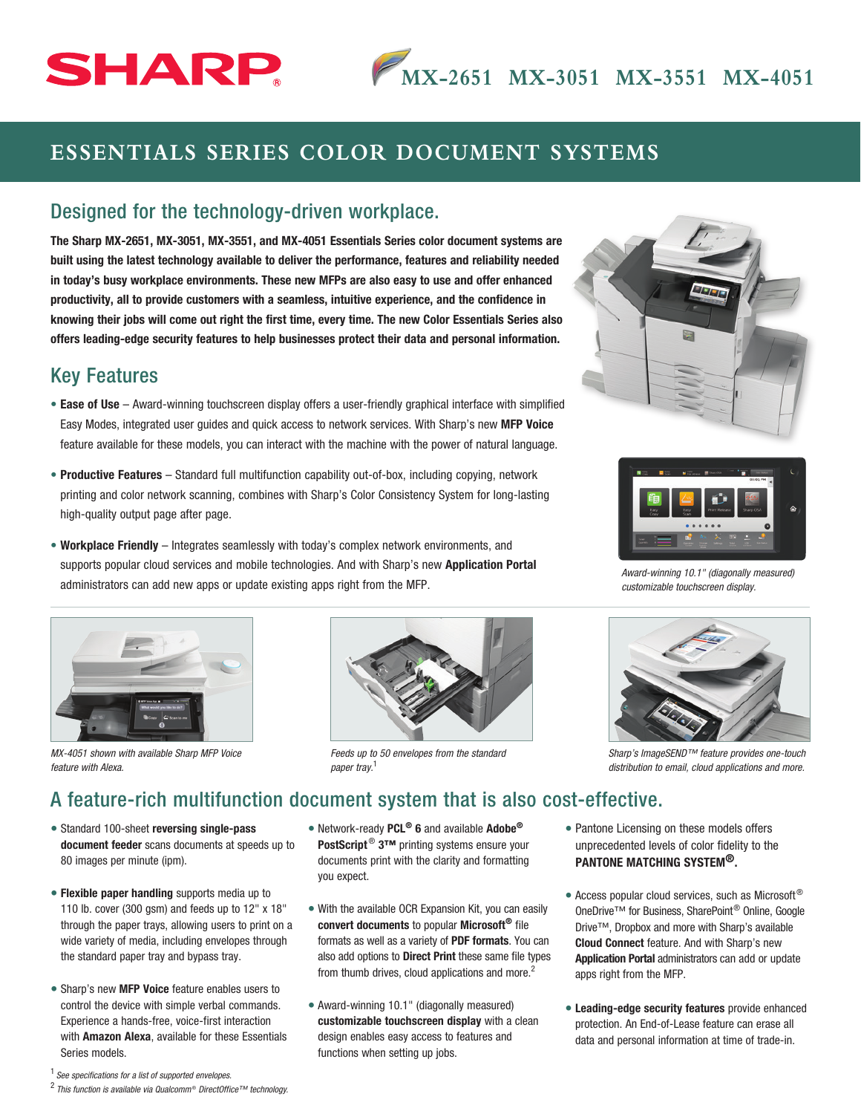# **SHARP**

## **ESSENTIALS SERIES COLOR DOCUMENT SYSTEMS**

#### Designed for the technology-driven workplace.

The Sharp MX-2651, MX-3051, MX-3551, and MX-4051 Essentials Series color document systems are built using the latest technology available to deliver the performance, features and reliability needed in today's busy workplace environments. These new MFPs are also easy to use and offer enhanced productivity, all to provide customers with a seamless, intuitive experience, and the confidence in knowing their jobs will come out right the first time, every time. The new Color Essentials Series also offers leading-edge security features to help businesses protect their data and personal information.

#### Key Features

- Ease of Use Award-winning touchscreen display offers a user-friendly graphical interface with simplified Easy Modes, integrated user guides and quick access to network services. With Sharp's new MFP Voice feature available for these models, you can interact with the machine with the power of natural language.
- Productive Features Standard full multifunction capability out-of-box, including copying, network printing and color network scanning, combines with Sharp's Color Consistency System for long-lasting high-quality output page after page.
- Workplace Friendly Integrates seamlessly with today's complex network environments, and supports popular cloud services and mobile technologies. And with Sharp's new Application Portal administrators can add new apps or update existing apps right from the MFP.



*MX-4051 shown with available Sharp MFP Voice feature with Alexa.*



*Feeds up to 50 envelopes from the standard paper tray.* <sup>1</sup>





*Award-winning 10.1" (diagonally measured) customizable touchscreen display.*



*Sharp's ImageSEND™ feature provides one-touch distribution to email, cloud applications and more.*

### A feature-rich multifunction document system that is also cost-effective.

- Standard 100-sheet reversing single-pass document feeder scans documents at speeds up to 80 images per minute (ipm).
- Flexible paper handling supports media up to 110 lb. cover (300 gsm) and feeds up to 12" x 18" through the paper trays, allowing users to print on a wide variety of media, including envelopes through the standard paper tray and bypass tray.
- Sharp's new MFP Voice feature enables users to control the device with simple verbal commands. Experience a hands-free, voice-first interaction with **Amazon Alexa**, available for these Essentials Series models.
- Network-ready PCL<sup>®</sup> 6 and available Adobe<sup>®</sup> PostScript<sup>®</sup> 3™ printing systems ensure your documents print with the clarity and formatting you expect.
- With the available OCR Expansion Kit, you can easily convert documents to popular Microsoft<sup>®</sup> file formats as well as a variety of PDF formats. You can also add options to Direct Print these same file types from thumb drives, cloud applications and more.<sup>2</sup>
- Award-winning 10.1" (diagonally measured) customizable touchscreen display with a clean design enables easy access to features and functions when setting up jobs.
- Pantone Licensing on these models offers unprecedented levels of color fidelity to the PANTONE MATCHING SYSTEM®.
- Access popular cloud services, such as Microsoft<sup>®</sup> OneDrive™ for Business, SharePoint® Online, Google Drive™, Dropbox and more with Sharp's available Cloud Connect feature. And with Sharp's new Application Portal administrators can add or update apps right from the MFP.
- Leading-edge security features provide enhanced protection. An End-of-Lease feature can erase all data and personal information at time of trade-in.

<sup>1</sup>  *See specifications for a list of supported envelopes.*

<sup>&</sup>lt;sup>2</sup> This function is available via Qualcomm<sup>®</sup> DirectOffice™ technology.